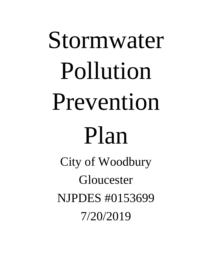# Stormwater Pollution Prevention Plan

City of Woodbury Gloucester NJPDES #0153699 7/20/2019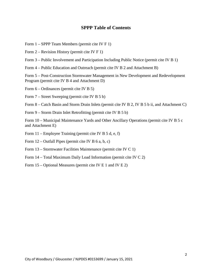## **SPPP Table of Contents**

- Form 1 SPPP Team Members (permit cite IV F 1)
- Form 2 Revision History (permit cite IV F 1)
- Form 3 Public Involvement and Participation Including Public Notice (permit cite IV B 1)
- Form 4 Public Education and Outreach (permit cite IV B 2 and Attachment B)

Form 5 – Post-Construction Stormwater Management in New Development and Redevelopment Program (permit cite IV B 4 and Attachment D)

Form 6 – Ordinances (permit cite IV B 5)

Form 7 – Street Sweeping (permit cite IV B 5 b)

Form 8 – Catch Basin and Storm Drain Inlets (permit cite IV B 2, IV B 5 b ii, and Attachment C)

Form 9 – Storm Drain Inlet Retrofitting (permit cite IV B 5 b)

Form 10 – Municipal Maintenance Yards and Other Ancillary Operations (permit cite IV B 5 c and Attachment E)

- Form 11 Employee Training (permit cite IV B 5 d, e, f)
- Form  $12$  Outfall Pipes (permit cite IV B 6 a, b, c)
- Form 13 Stormwater Facilities Maintenance (permit cite IV C 1)
- Form 14 Total Maximum Daily Load Information (permit cite IV C 2)
- Form 15 Optional Measures (permit cite IV E 1 and IV E 2)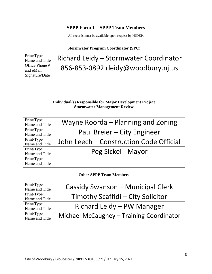# **SPPP Form 1 – SPPP Team Members**

|                              | <b>Stormwater Program Coordinator (SPC)</b>                                                           |
|------------------------------|-------------------------------------------------------------------------------------------------------|
| Print/Type<br>Name and Title | Richard Leidy - Stormwater Coordinator                                                                |
| Office Phone #<br>and eMail  | 856-853-0892 rleidy@woodbury.nj.us                                                                    |
| Signature/Date               |                                                                                                       |
|                              |                                                                                                       |
|                              | <b>Individual(s) Responsible for Major Development Project</b><br><b>Stormwater Management Review</b> |
| Print/Type<br>Name and Title | Wayne Roorda – Planning and Zoning                                                                    |
| Print/Type<br>Name and Title | Paul Breier - City Engineer                                                                           |
| Print/Type<br>Name and Title | John Leech – Construction Code Official                                                               |
| Print/Type<br>Name and Title | Peg Sickel - Mayor                                                                                    |
| Print/Type<br>Name and Title |                                                                                                       |
|                              | <b>Other SPPP Team Members</b>                                                                        |
| Print/Type<br>Name and Title | Cassidy Swanson - Municipal Clerk                                                                     |
| Print/Type<br>Name and Title | Timothy Scaffidi - City Solicitor                                                                     |
| Print/Type<br>Name and Title | Richard Leidy - PW Manager                                                                            |
| Print/Type<br>Name and Title | Michael McCaughey – Training Coordinator                                                              |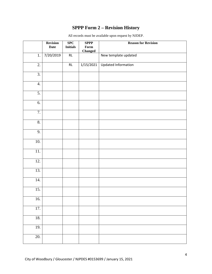# **SPPP Form 2 – Revision History**

|                   | <b>Revision</b><br><b>Date</b> | SPC<br><b>Initials</b> | <b>SPPP</b><br>${\bf Form}$<br><b>Changed</b> | <b>Reason for Revision</b> |
|-------------------|--------------------------------|------------------------|-----------------------------------------------|----------------------------|
| 1.                | 7/20/2019                      | RL                     |                                               | New template updated       |
| $\overline{2}$ .  |                                | $\mathsf{RL}$          | 1/15/2021                                     | Updated Information        |
| $\overline{3}$ .  |                                |                        |                                               |                            |
| 4.                |                                |                        |                                               |                            |
| $\overline{5}$ .  |                                |                        |                                               |                            |
| 6.                |                                |                        |                                               |                            |
| $\overline{7}$ .  |                                |                        |                                               |                            |
| $\overline{8}$ .  |                                |                        |                                               |                            |
| 9.                |                                |                        |                                               |                            |
| 10.               |                                |                        |                                               |                            |
| $\overline{11}$ . |                                |                        |                                               |                            |
| $\overline{12}$ . |                                |                        |                                               |                            |
| 13.               |                                |                        |                                               |                            |
| 14.               |                                |                        |                                               |                            |
| 15.               |                                |                        |                                               |                            |
| 16.               |                                |                        |                                               |                            |
| 17.               |                                |                        |                                               |                            |
| 18.               |                                |                        |                                               |                            |
| 19.               |                                |                        |                                               |                            |
| 20.               |                                |                        |                                               |                            |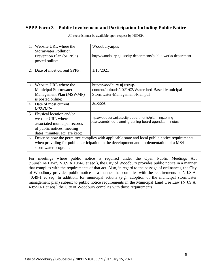# **SPPP Form 3 – Public Involvement and Participation Including Public Notice**

| Website URL where the<br>1.<br><b>Stormwater Pollution</b><br>Prevention Plan (SPPP) is<br>posted online:                                                         | Woodbury.nj.us<br>http://woodbury.nj.us/city-departments/public-works-department                                                                                                                                                                                                                                                                                                                                                                                                                                                                                                                                                                                                     |
|-------------------------------------------------------------------------------------------------------------------------------------------------------------------|--------------------------------------------------------------------------------------------------------------------------------------------------------------------------------------------------------------------------------------------------------------------------------------------------------------------------------------------------------------------------------------------------------------------------------------------------------------------------------------------------------------------------------------------------------------------------------------------------------------------------------------------------------------------------------------|
| 2. Date of most current SPPP:                                                                                                                                     | 1/15/2021                                                                                                                                                                                                                                                                                                                                                                                                                                                                                                                                                                                                                                                                            |
| Website URL where the<br>3.<br><b>Municipal Stormwater</b><br>Management Plan (MSWMP)<br>is posted online:<br>4. Date of most current                             | http://woodbury.nj.us/wp-<br>content/uploads/2021/02/Watershed-Based-Municipal-<br>Stormwater-Management-Plan.pdf<br>2/1/2006                                                                                                                                                                                                                                                                                                                                                                                                                                                                                                                                                        |
| <b>MSWMP:</b><br>5. Physical location and/or<br>website URL where<br>associated municipal records<br>of public notices, meeting<br>dates, minutes, etc. are kept: | http://woodbury.nj.us/city-departments/planningzoning-<br>board/combined-planning-zoning-board-agendas-minutes                                                                                                                                                                                                                                                                                                                                                                                                                                                                                                                                                                       |
| stormwater program:                                                                                                                                               | 6. Describe how the permittee complies with applicable state and local public notice requirements<br>when providing for public participation in the development and implementation of a MS4                                                                                                                                                                                                                                                                                                                                                                                                                                                                                          |
|                                                                                                                                                                   | For meetings where public notice is required under the Open Public Meetings<br>Act<br>('Sunshine Law", N.J.S.A 10:4-6 et seq.), the City of Woodbury provides public notice in a manner<br>that complies with the requirements of that act. Also, in regard to the passage of ordinances, the City<br>of Woodbury provides public notice in a manner that complies with the requirements of N.J.S.A.<br>40:49-1 et seq. In addition, for municipal actions (e.g., adoption of the municipal stormwater<br>management plan) subject to public notice requirements in the Municipal Land Use Law (N.J.S.A.<br>40:55D-1 et seq.) the City of Woodbury complies with those requirements. |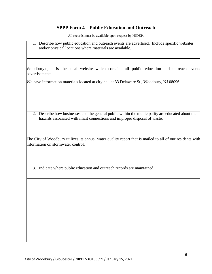## **SPPP Form 4 – Public Education and Outreach**

All records must be available upon request by NJDEP.

1. Describe how public education and outreach events are advertised. Include specific websites and/or physical locations where materials are available.

Woodbury.nj.us is the local website which contains all public education and outreach events advertisements.

We have information materials located at city hall at 33 Delaware St., Woodbury, NJ 08096.

2. Describe how businesses and the general public within the municipality are educated about the hazards associated with illicit connections and improper disposal of waste.

The City of Woodbury utilizes its annual water quality report that is mailed to all of our residents with information on stormwater control.

3. Indicate where public education and outreach records are maintained.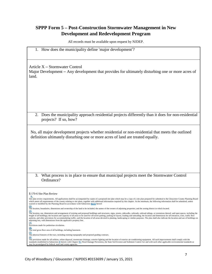## **SPPP Form 5 – Post-Construction Stormwater Management in New Development and Redevelopment Program**

All records must be available upon request by NJDEP.

|  | 1. How does the municipality define 'major development'? |  |  |  |
|--|----------------------------------------------------------|--|--|--|
|  |                                                          |  |  |  |

Article X – Stormwater Control

Major Development – Any development that provides for ultimately disturbing one or more acres of land.

2. Does the municipality approach residential projects differently than it does for non-residential projects? If so, how?

No, all major development projects whether residential or non-residential that meets the outlined definition ultimately disturbing one or more acres of land are treated equally.

3. What process is in place to ensure that municipal projects meet the Stormwater Control Ordinance?

**[\(4\)](https://ecode360.com/11414802#11414802)** The total gross floor area of all buildings, including basement.

<sup>§</sup> 170-6 Site Plan Review

**[B.](https://ecode360.com/11414798#11414798)** Site plan review requirements. All applications shall be accompanied by copies of a proposed site plan which may be a copy of a site plan prepared for submittal to the Gloucester County Planning Board which meets all requirements of the county relating to site plans, together with additional information required by this chapter. At the minimum, the following information shall be submitted, unless<br>waived or modified by t

**[<sup>\(1\)</sup>](https://ecode360.com/11414799#11414799)** The location, boundaries, dimensions and ownership of the land to be included; the names of the owners of adjoining properties; and the zoning district in which located.

<sup>(&</sup>lt;u>2)</u><br>The location, use, dimensions and arrangement of existing and proposed buildings and structures, signs, streets, sidewalks, railroads, railroad sidings, or extensions thereof, and open spaces, including the<br>height of patterns, and other provisions for accommodating traffic; and the location of all areas devoted to planting, landscaping or similar purposes. The plan shall also indicate the location and use of buildings on<br>adjoining lots

**[<sup>\(3\)</sup>](https://ecode360.com/11414801#11414801)** Provisions made for pedestrian circulation.

**[<sup>\(5\)</sup>](https://ecode360.com/11414803#11414803)** The physical features of the tract, including existing topography and proposed grading contours.

<sup>&</sup>lt;u>[\(6\)](https://ecode360.com/11414804#11414804)</u><br>The provisions made for all utilities, refuse disposal, stormwater drainage, exterior lighting and the location of exterior air-conditioning equipment. All such improvements shall comply with the<br>standards establishe may be promulgated by federal, state and county agencies.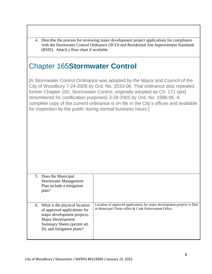| (RSIS). Attach a flow chart if available.                                                                                                                                                  | 4. Describe the process for reviewing major development project applications for compliance<br>with the Stormwater Control Ordinance (SCO) and Residential Site Improvement Standards                                                                                                                                                                                                                        |
|--------------------------------------------------------------------------------------------------------------------------------------------------------------------------------------------|--------------------------------------------------------------------------------------------------------------------------------------------------------------------------------------------------------------------------------------------------------------------------------------------------------------------------------------------------------------------------------------------------------------|
| <b>Chapter 165Stormwater Control</b>                                                                                                                                                       |                                                                                                                                                                                                                                                                                                                                                                                                              |
| for inspection by the public during normal business hours.]                                                                                                                                | [A Stormwater Control Ordinance was adopted by the Mayor and Council of the<br>City of Woodbury 7-24-2006 by Ord. No. 2033-06. That ordinance also repealed<br>former Chapter 165, Stormwater Control, originally adopted as Ch. 171 (and<br>renumbered for codification purposes) 3-28-2005 by Ord. No. 1986-05. A<br>complete copy of the current ordinance is on file in the City's offices and available |
| 5. Does the Municipal<br><b>Stormwater Management</b><br>Plan include a mitigation<br>plan?                                                                                                |                                                                                                                                                                                                                                                                                                                                                                                                              |
| What is the physical location<br>6.<br>of approved applications for<br>major development projects,<br><b>Major Development</b><br>Summary Sheets (permit att.<br>D), and mitigation plans? | Location of approved applications for major development projects is filed<br>in Municipal Clerks office & Code Enforcement Office.                                                                                                                                                                                                                                                                           |

 $\sqrt{ }$ 

I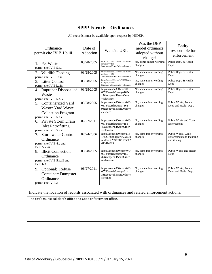# **SPPP Form 6 – Ordinances**

| Ordinance<br>permit cite IV.B.1.b.iii                                                             | Date of<br>Adoption<br>03/28/2005 | <b>Website URL</b><br>https://ecode360.com/WO0578/sea                                        | Was the DEP<br>model ordinance<br>adopted without<br>change?<br>No, some minor wording | Entity<br>responsible for<br>enforcement<br>Police Dept. & Health   |
|---------------------------------------------------------------------------------------------------|-----------------------------------|----------------------------------------------------------------------------------------------|----------------------------------------------------------------------------------------|---------------------------------------------------------------------|
| 1. Pet Waste<br>permit cite IV.B.5.a.i                                                            |                                   | rch?query=211-<br>2&scope=all&sortOrder=relevance                                            | changes.                                                                               | Dept.                                                               |
| 2.<br>Wildlife Feeding<br>permit cite IV.B5.a.ii                                                  | 03/28/2005                        | https://ecode360.com/WO0578/sea<br>rch?query=136-<br>1&scope=all&sortOrder=relevance         | No, some minor wording<br>changes.                                                     | Police Dept. & Health<br>Dept.                                      |
| 3.<br><b>Litter Control</b><br>permit cite IV.B5.a.iii                                            | 03/28/2005                        | https://ecode360.com/WO0578/sea<br>rch?query=162-<br>3&scope=all&sortOrder=relevance         | No, some minor wording<br>changes.                                                     | Police Dept. & Health<br>Dept.                                      |
| Improper Disposal of<br>4.<br>Waste<br>permit cite IV.B.5.a.iv                                    | 03/28/2005                        | https://ecode360.com/WO<br>0578/search?query=162-<br>17&scope=all&sortOrder<br>$=$ relevance | No, some minor wording<br>changes.                                                     | Police Dept. & Health<br>Dept.                                      |
| 5. Containerized Yard<br>Waste/ Yard Waste<br><b>Collection Program</b><br>permit cite IV.B.5.a.v | 03/28/2005                        | https://ecode360.com/WO<br>0578/search?query=162-<br>9&scope=all&sortOrder=r<br>elevance     | No, some minor wording<br>changes.                                                     | Public Works, Police<br>Dept. and Health Dept.                      |
| 6. Private Storm Drain<br><b>Inlet Retrofitting</b><br>permit cite IV.B.5.a.vi                    | 06/27/2011                        | https://ecode360.com/WO<br>0578/search?query=156-<br>43&scope=all&sortOrder<br>$=$ relevance | No, some minor wording<br>changes.                                                     | Public Works and Code<br>Enforcement                                |
| <b>Stormwater Control</b><br>7.<br>Ordinance<br>permit cite IV.B.4.g and<br>IV.B.5.a.vii          | 07/24/2006                        | https://ecode360.com/114<br>14523?highlight=165&sea<br>rchId=6225323941555502<br>#11414523   | No, some minor wording<br>changes.                                                     | Public Works, Code<br><b>Enforcement</b> and Planning<br>and Zoning |
| 8. Illicit Connection<br>Ordinance<br>permit cite IV.B.5.a.vii and<br><b>IV.B.6.d</b>             | 03/28/2005                        | https://ecode360.com/WO<br>0578/search?query=156-<br>37&scope=all&sortOrder<br>=relevance    | No, some minor wording<br>changes.                                                     | Public Works and Health<br>Dept.                                    |
| Optional: Refuse<br>9.<br><b>Container/Dumpster</b><br>Ordinance<br>permit cite IV.E.2            | 06/27/2011                        | https://ecode360.com/WO<br>0578/search?query=81-<br>3&scope=all&sortOrder=r<br>elevance      | No, some minor wording<br>changes.                                                     | Public Works, Police<br>Dept. and Health Dept.                      |

All records must be available upon request by NJDEP.

Indicate the location of records associated with ordinances and related enforcement actions:

The city's municipal clerk's office and Code enforcement office.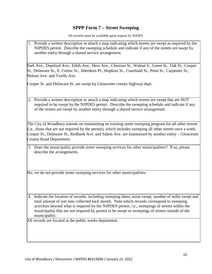## **SPPP Form 7 – Street Sweeping**

All records must be available upon request by NJDEP.

1. Provide a written description or attach a map indicating which streets are swept as required by the NJPDES permit. Describe the sweeping schedule and indicate if any of the streets are swept by another entity through a shared service arrangement.

Park Ave., Deptford Ave., Edith Ave., Hess Ave., Chestnut St., Walnut S., Green St., Oak St., Cooper St., Delaware St., E. Centre St., Aberdeen Pl., Hopkins St., Courtland St., Penn St., Carpenter St., Nelson Ave. and Twells Ave.

Cooper St. and Delaware St. are swept by Gloucester county highway dept.

2. Provide a written description or attach a map indicating which streets are swept that are NOT required to be swept by the NJPDES permit. Describe the sweeping schedule and indicate if any of the streets are swept by another entity through a shared service arrangement.

The City of Woodbury intends on maintaining its existing street sweeping program for all other streets (i.e., those that are not required by the permit), which includes sweeping all other streets once a week. Cooper St., Delaware St., Redbank Ave. and Salem Ave. are maintained by another entity – Gloucester County Road Department.

3. Does the municipality provide street sweeping services for other municipalities? If so, please describe the arrangements.

No, we do not provide street sweeping services for other municipalities.

4. Indicate the location of records, including sweeping dates, areas swept, number of miles swept and total amount of wet tons collected each month. Note which records correspond to sweeping activities beyond what is required by the NJPDES permit, i.e., sweepings of streets within the municipality that are not required by permit to be swept or sweepings of streets outside of the municipality.

All records are located at the public works department.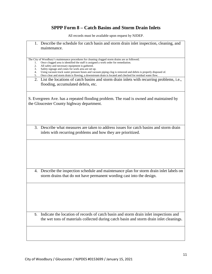# **SPPP Form 8 – Catch Basins and Storm Drain Inlets**

| Describe the schedule for catch basin and storm drain inlet inspection, cleaning, and<br>1.<br>maintenance.                                                                                                                                                                                                                                                                                                                                                                                                                                                                                                                                                                                       |
|---------------------------------------------------------------------------------------------------------------------------------------------------------------------------------------------------------------------------------------------------------------------------------------------------------------------------------------------------------------------------------------------------------------------------------------------------------------------------------------------------------------------------------------------------------------------------------------------------------------------------------------------------------------------------------------------------|
| The City of Woodbury's maintenance procedures for cleaning clogged storm drains are as followed;<br>Once clogged area is identified the staff is assigned a work order for remediation.<br>1.<br>2.<br>All safety and necessary equipment is gathered.<br>3.<br>Safety signage and cones for work area are set up.<br>Using vacuum truck water pressure hoses and vacuum piping clog is removed and debris is properly disposed of.<br>4.<br>Once clear and storm drain is flowing, a downstream drain is located and checked for residual water flow.<br>5.<br>2. List the locations of catch basins and storm drain inlets with recurring problems, i.e.,<br>flooding, accumulated debris, etc. |
| S. Evergreen Ave. has a repeated flooding problem. The road is owned and maintained by<br>the Gloucester County highway department.                                                                                                                                                                                                                                                                                                                                                                                                                                                                                                                                                               |
| 3. Describe what measures are taken to address issues for catch basins and storm drain<br>inlets with recurring problems and how they are prioritized.                                                                                                                                                                                                                                                                                                                                                                                                                                                                                                                                            |
|                                                                                                                                                                                                                                                                                                                                                                                                                                                                                                                                                                                                                                                                                                   |
| 4. Describe the inspection schedule and maintenance plan for storm drain inlet labels on<br>storm drains that do not have permanent wording cast into the design.                                                                                                                                                                                                                                                                                                                                                                                                                                                                                                                                 |
|                                                                                                                                                                                                                                                                                                                                                                                                                                                                                                                                                                                                                                                                                                   |
| Indicate the location of records of catch basin and storm drain inlet inspections and<br>5.<br>the wet tons of materials collected during catch basin and storm drain inlet cleanings.                                                                                                                                                                                                                                                                                                                                                                                                                                                                                                            |
|                                                                                                                                                                                                                                                                                                                                                                                                                                                                                                                                                                                                                                                                                                   |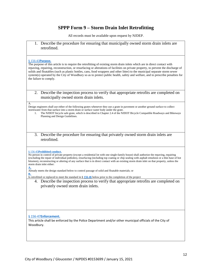## **SPPP Form 9 – Storm Drain Inlet Retrofitting**

All records must be available upon request by NJDEP.

1. Describe the procedure for ensuring that municipally owned storm drain inlets are retrofitted.

#### § 156-43**[Purpose.](https://ecode360.com/26938962?highlight=storm%20drain%20inlet%20retrofitting&searchId=7151516474533706#26938963)**

The purpose of this article is to require the retrofitting of existing storm drain inlets which are in direct contact with repaving, repairing, reconstruction, or resurfacing or alterations of facilities on private property, to prevent the discharge of solids and floatables (such as plastic bottles, cans, food wrappers and other litter) to the municipal separate storm sewer system(s) operated by the City of Woodbury so as to protect public health, safety and welfare, and to prescribe penalties for the failure to comply.

2. Describe the inspection process to verify that appropriate retrofits are completed on municipally owned storm drain inlets.

#### A.

Design engineers shall use either of the following grates whenever they use a grate in pavement or another ground surface to collect stormwater from that surface into a storm drain or surface water body under the grate.

- 1. The NJDOT bicycle safe grate, which is described in Chapter 2.4 of the NJDOT Bicycle Compatible Roadways and Bikeways Planning and Design Guidelines.
- 3. Describe the procedure for ensuring that privately owned storm drain inlets are retrofitted.

#### § 156-45**[Prohibited conduct.](https://ecode360.com/26938962?highlight=storm%20drain%20inlet%20retrofitting&searchId=7151516474533706#26938969)**

No person in control of private property (except a residential lot with one single-family house) shall authorize the repaving, repairing (excluding the repair of individual potholes), resurfacing (including top coating or chip sealing with asphalt emulsion or a thin base of hot bitumen), reconstructing or altering of any surface that is in direct contact with an existing storm drain inlet on that property, unless the storm drain inlet either:

**[A.](https://ecode360.com/26938970#26938970)** Already meets the design standard below to control passage of solid and floatable materials; or

**[B.](https://ecode360.com/26938971#26938971)**

Is retrofitted or replaced to meet the standard in § **[156-46](https://ecode360.com/26938972#26938972)** below prior to the completion of the project

4. Describe the inspection process to verify that appropriate retrofits are completed on privately owned storm drain inlets.

#### § 156-47**[Enforcement.](https://ecode360.com/26938962?highlight=storm%20drain%20inlet%20retrofitting&searchId=7151516474533706#26938986)**

This article shall be enforced by the Police Department and/or other municipal officials of the City of Woodbury.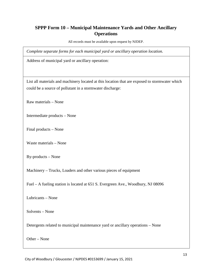## **SPPP Form 10 – Municipal Maintenance Yards and Other Ancillary Operations**

All records must be available upon request by NJDEP.

*Complete separate forms for each municipal yard or ancillary operation location.*

Address of municipal yard or ancillary operation:

List all materials and machinery located at this location that are exposed to stormwater which could be a source of pollutant in a stormwater discharge:

Raw materials – None

Intermediate products – None

Final products – None

Waste materials – None

By-products – None

Machinery – Trucks, Loaders and other various pieces of equipment

Fuel – A fueling station is located at 651 S. Evergreen Ave., Woodbury, NJ 08096

Lubricants – None

Solvents – None

Detergents related to municipal maintenance yard or ancillary operations – None

Other – None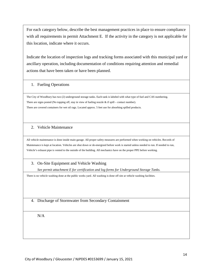For each category below, describe the best management practices in place to ensure compliance with all requirements in permit Attachment E. If the activity in the category is not applicable for this location, indicate where it occurs.

Indicate the location of inspection logs and tracking forms associated with this municipal yard or ancillary operation, including documentation of conditions requiring attention and remedial actions that have been taken or have been planned.

## 1. Fueling Operations

The City of Woodbury has two (2) underground storage tanks. Each tank is labeled with what type of fuel and CAS numbering. There are signs posted (No topping off, stay in view of fueling nozzle  $\&$  if spill – contact number). There are covered containers for wet oil rags. Located approx. 5 feet use for absorbing spilled products.

## 2. Vehicle Maintenance

All vehicle maintenance is done inside main garage. All proper safety measures are performed when working on vehicles. Records of Maintenance is kept at location. Vehicles are shut down or de-energized before work is started unless needed to run. If needed to run, Vehicle's exhaust pipe is vented to the outside of the building. All mechanics have on the proper PPE before working.

## 3. On-Site Equipment and Vehicle Washing

*See permit attachment E for certification and log forms for Underground Storage Tanks.* 

There is no vehicle washing done at the public works yard. All washing is done off site at vehicle washing facilities.

4. Discharge of Stormwater from Secondary Containment

N/A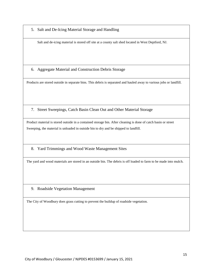5. Salt and De-Icing Material Storage and Handling

Salt and de-icing material is stored off site at a county salt shed located in West Deptford, NJ.

6. Aggregate Material and Construction Debris Storage

Products are stored outside in separate bins. This debris is separated and hauled away to various jobs or landfill.

7. Street Sweepings, Catch Basin Clean Out and Other Material Storage

Product material is stored outside in a contained storage bin. After cleaning is done of catch basin or street Sweeping, the material is unloaded in outside bin to dry and be shipped to landfill.

8. Yard Trimmings and Wood Waste Management Sites

The yard and wood materials are stored in an outside bin. The debris is off loaded to farm to be made into mulch.

9. Roadside Vegetation Management

The City of Woodbury does grass cutting to prevent the buildup of roadside vegetation.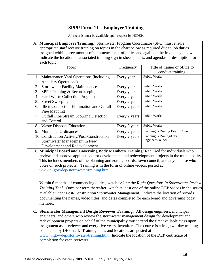## **SPPP Form 11 – Employee Training**

All records must be available upon request by NJDEP.

| A. Municipal Employee Training: Stormwater Program Coordinator (SPC) must ensure                   |
|----------------------------------------------------------------------------------------------------|
| appropriate staff receive training on topics in the chart below as required due to job duties      |
| assigned within three months of commencement of duties and again on the frequency below.           |
| Indicate the location of associated training sign in sheets, dates, and agendas or description for |
| each topic.                                                                                        |

| Topic                                                   | Frequency     | Title of trainer or office to   |
|---------------------------------------------------------|---------------|---------------------------------|
|                                                         |               | conduct training                |
| 1. Maintenance Yard Operations (including)              | Every year    | <b>Public Works</b>             |
| <b>Ancillary Operations</b> )                           |               |                                 |
| 2. Stormwater Facility Maintenance                      | Every year    | <b>Public Works</b>             |
| SPPP Training & Recordkeeping<br>3.                     | Every year    | <b>Public Works</b>             |
| <b>Yard Waste Collection Program</b><br>4.              | Every 2 years | <b>Public Works</b>             |
| <b>Street Sweeping</b><br>5.                            | Every 2 years | <b>Public Works</b>             |
| <b>Illicit Connection Elimination and Outfall</b><br>6. | Every 2 years | <b>Public Works</b>             |
| Pipe Mapping                                            |               |                                 |
| 7. Outfall Pipe Stream Scouring Detection               | Every 2 years | <b>Public Works</b>             |
| and Control                                             |               |                                 |
| <b>Waste Disposal Education</b><br>8.                   | Every 2 years | <b>Public Works</b>             |
| <b>Municipal Ordinances</b><br>9.                       | Every 2 years | Planning & Zoning Board/Council |
| 10. Construction Activity/Post-Construction             | Every 2 years | Planning & Zoning/City          |
| Stormwater Management in New                            |               | Engineer/Council                |
| Development and Redevelopment                           |               |                                 |

B. **Municipal Board and Governing Body Members Training:** Required for individuals who review and approve applications for development and redevelopment projects in the municipality. This includes members of the planning and zoning boards, town council, and anyone else who votes on such projects. Training is in the form of online videos, posted at [www.nj.gov/dep/stormwater/training.htm.](http://www.nj.gov/dep/stormwater/training.htm)

Within 6 months of commencing duties, watch *Asking the Right Questions in Stormwater Review Training Tool*. Once per term thereafter, watch at least one of the online DEP videos in the series available under Post-Construction Stormwater Management. Indicate the location of records documenting the names, video titles, and dates completed for each board and governing body member.

C. **Stormwater Management Design Reviewer Training:** All design engineers, municipal engineers, and others who review the stormwater management design for development and redevelopment projects on behalf of the municipality must attend the first available class upon assignment as a reviewer and every five years thereafter. The course is a free, two-day training conducted by DEP staff. Training dates and locations are posted at [www.nj.gov/dep/stormwater/training.htm.](http://www.nj.gov/dep/stormwater/training.htm) Indicate the location of the DEP certificate of completion for each reviewer.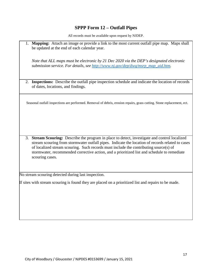## **SPPP Form 12 – Outfall Pipes**

All records must be available upon request by NJDEP.

1. **Mapping:** Attach an image or provide a link to the most current outfall pipe map. Maps shall be updated at the end of each calendar year.

*Note that ALL maps must be electronic by 21 Dec 2020 via the DEP's designated electronic submission service. For details, see [http://www.nj.gov/dep/dwq/msrp\\_map\\_aid.htm.](http://www.nj.gov/dep/dwq/msrp_map_aid.htm)*

2. **Inspections:** Describe the outfall pipe inspection schedule and indicate the location of records of dates, locations, and findings.

Seasonal outfall inspections are performed. Removal of debris, erosion repairs, grass cutting. Stone replacement, ect.

3. **Stream Scouring:** Describe the program in place to detect, investigate and control localized stream scouring from stormwater outfall pipes. Indicate the location of records related to cases of localized stream scouring. Such records must include the contributing source(s) of stormwater, recommended corrective action, and a prioritized list and schedule to remediate scouring cases.

No stream scouring detected during last inspection.

If sites with stream scouring is found they are placed on a prioritized list and repairs to be made.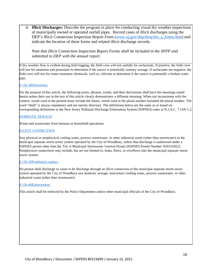4. **Illicit Discharges:** Describe the program in place for conducting visual dry weather inspections of municipally owned or operated outfall pipes. Record cases of illicit discharges using the DEP's Illicit Connection Inspection Report Form [\(www.nj.gov/dep/dwq/tier\\_a\\_forms.htm\)](http://www.nj.gov/dep/dwq/tier_a_forms.htm) and indicate the location of these forms and related illicit discharge records.

*Note that Illicit Connection Inspection Report Forms shall be included in the SPPP and submitted to DEP with the annual report.* 

If dry weather flow is evident during field logging, the field crew will test outfalls for surfactants. If positive, the field crew will test for ammonia and potassium to determine if the source is potentially sanitary sewage. If surfactants are negative, the field crew will test for water treatment chemicals, such as, chlorine to determine if the source is potentially a broken water pipe.

#### § [156-38Definitions.](https://ecode360.com/11414388?highlight=illicit%20connection&searchId=7160601305420879#11414390)

For the purpose of this article, the following terms, phrases, words, and their derivations shall have the meanings stated herein unless their use in the text of this article clearly demonstrates a different meaning, When not inconsistent with the context, words used in the present tense include the future, words used in the plural number included the plural number. The word "shall" is always mandatory and not merely directory. The definitions below are the same as or based on corresponding definitions in the New Jersey Pollutant Discharge Elimination System (NJPDES) rules at N.J.A.C. 7:14A-1.2.

#### [DOMESTIC SEWAGE](https://ecode360.com/11414391#11414391)

Waste and wastewater from humans or household operations.

#### [ILLICIT CONNECTION](https://ecode360.com/11414392#11414392)

Any physical or nonphysical cooling water, process wastewater, or other industrial waste (other than stormwater) to the municipal separate storm sewer system operated by the City of Woodbury, unless that discharge is authorized under a NJPDES permit other than the Tier A Municipal Stormwater General Permit (NJPDES Permit Number NJ0141852). Nonphysical connections may include, but are not limited to, leaks, flows, or overflows into the municipal separate storm sewer system.

#### § [156-39Prohibited conduct.](https://ecode360.com/11414388?highlight=illicit%20connection&searchId=7160601305420879#11414400)

No person shall discharge or cause to be discharge through an illicit connection to the municipal separate storm sewer system operated by the City of Woodbury any domestic sewage, noncontact cooling water, process wastewater, or other industrial waste (other than stormwater).

#### § [156-40Enforcement.](https://ecode360.com/11414388?highlight=illicit%20connection&searchId=7160601305420879#11414401)

This article shall be enforced by the Police Department and/or other municipal officials of the City of Woodbury.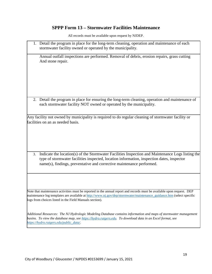# **SPPP Form 13 – Stormwater Facilities Maintenance**

|    | 1. Detail the program in place for the long-term cleaning, operation and maintenance of each<br>stormwater facility owned or operated by the municipality.                                                                                                                                                 |
|----|------------------------------------------------------------------------------------------------------------------------------------------------------------------------------------------------------------------------------------------------------------------------------------------------------------|
|    | Annual outfall inspections are performed. Removal of debris, erosion repairs, grass cutting<br>And stone repair.                                                                                                                                                                                           |
|    |                                                                                                                                                                                                                                                                                                            |
|    |                                                                                                                                                                                                                                                                                                            |
|    | 2. Detail the program in place for ensuring the long-term cleaning, operation and maintenance of<br>each stormwater facility NOT owned or operated by the municipality.                                                                                                                                    |
|    | Any facility not owned by municipality is required to do regular cleaning of stormwater facility or<br>facilities on an as needed basis.                                                                                                                                                                   |
| 3. | Indicate the location(s) of the Stormwater Facilities Inspection and Maintenance Logs listing the<br>type of stormwater facilities inspected, location information, inspection dates, inspector<br>name(s), findings, preventative and corrective maintenance performed.                                   |
|    | Note that maintenance activities must be reported in the annual report and records must be available upon request. DEP<br>maintenance log templates are available at http://www.nj.gov/dep/stormwater/maintenance_guidance.htm (select specific<br>logs from choices listed in the Field Manuals section). |
|    | Additional Resources: The NJ Hydrologic Modeling Database contains information and maps of stormwater management<br>basins. To view the database map, see https://hydro.rutgers.edu. To download data in an Excel format, see<br>https://hydro.rutgers.edu/public_data/.                                   |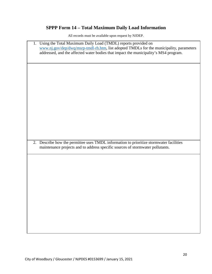# **SPPP Form 14 – Total Maximum Daily Load Information**

| 1. Using the Total Maximum Daily Load (TMDL) reports provided on<br>www.nj.gov/dep/dwq/msrp-tmdl-rh.htm, list adopted TMDLs for the municipality, parameters<br>addressed, and the affected water bodies that impact the municipality's MS4 program. |
|------------------------------------------------------------------------------------------------------------------------------------------------------------------------------------------------------------------------------------------------------|
|                                                                                                                                                                                                                                                      |
|                                                                                                                                                                                                                                                      |
|                                                                                                                                                                                                                                                      |
|                                                                                                                                                                                                                                                      |
| 2. Describe how the permittee uses TMDL information to prioritize stormwater facilities<br>maintenance projects and to address specific sources of stormwater pollutants.                                                                            |
|                                                                                                                                                                                                                                                      |
|                                                                                                                                                                                                                                                      |
|                                                                                                                                                                                                                                                      |